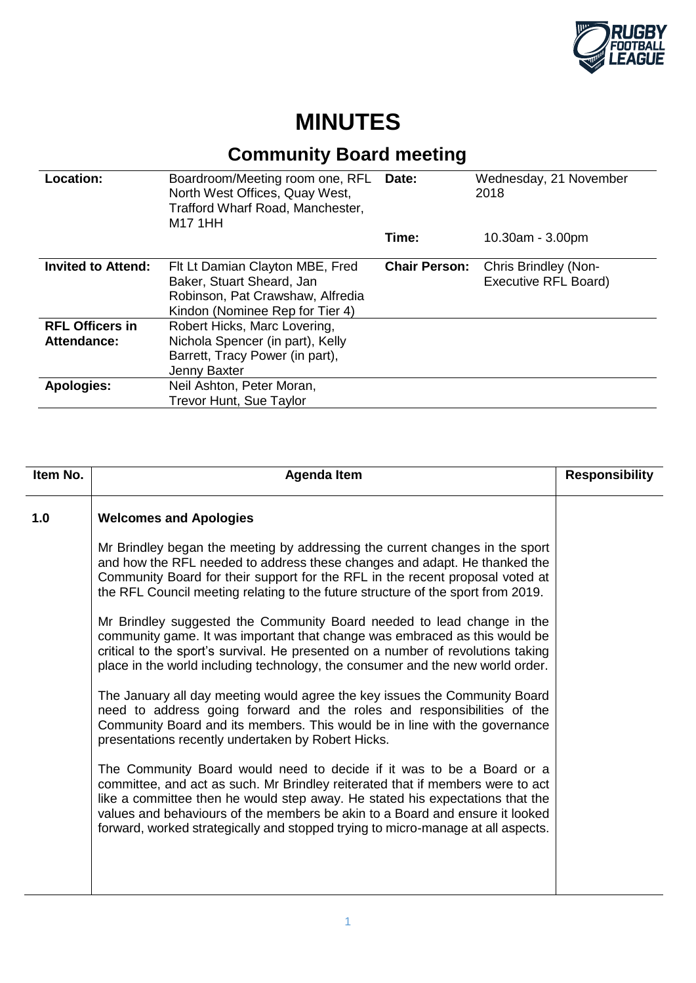

## **MINUTES**

## **Community Board meeting**

| Location:                             | Boardroom/Meeting room one, RFL<br>North West Offices, Quay West,<br>Trafford Wharf Road, Manchester,<br>M17 1HH                    | Date:                | Wednesday, 21 November<br>2018                      |
|---------------------------------------|-------------------------------------------------------------------------------------------------------------------------------------|----------------------|-----------------------------------------------------|
|                                       |                                                                                                                                     | Time:                | 10.30am - 3.00pm                                    |
| <b>Invited to Attend:</b>             | Fit Lt Damian Clayton MBE, Fred<br>Baker, Stuart Sheard, Jan<br>Robinson, Pat Crawshaw, Alfredia<br>Kindon (Nominee Rep for Tier 4) | <b>Chair Person:</b> | <b>Chris Brindley (Non-</b><br>Executive RFL Board) |
| <b>RFL Officers in</b><br>Attendance: | Robert Hicks, Marc Lovering,<br>Nichola Spencer (in part), Kelly<br>Barrett, Tracy Power (in part),<br>Jenny Baxter                 |                      |                                                     |
| <b>Apologies:</b>                     | Neil Ashton, Peter Moran,<br><b>Trevor Hunt, Sue Taylor</b>                                                                         |                      |                                                     |

| Item No. | <b>Agenda Item</b>                                                                                                                                                                                                                                                                                                                                                                                           | <b>Responsibility</b> |
|----------|--------------------------------------------------------------------------------------------------------------------------------------------------------------------------------------------------------------------------------------------------------------------------------------------------------------------------------------------------------------------------------------------------------------|-----------------------|
| 1.0      | <b>Welcomes and Apologies</b>                                                                                                                                                                                                                                                                                                                                                                                |                       |
|          | Mr Brindley began the meeting by addressing the current changes in the sport<br>and how the RFL needed to address these changes and adapt. He thanked the<br>Community Board for their support for the RFL in the recent proposal voted at<br>the RFL Council meeting relating to the future structure of the sport from 2019.                                                                               |                       |
|          | Mr Brindley suggested the Community Board needed to lead change in the<br>community game. It was important that change was embraced as this would be<br>critical to the sport's survival. He presented on a number of revolutions taking<br>place in the world including technology, the consumer and the new world order.                                                                                   |                       |
|          | The January all day meeting would agree the key issues the Community Board<br>need to address going forward and the roles and responsibilities of the<br>Community Board and its members. This would be in line with the governance<br>presentations recently undertaken by Robert Hicks.                                                                                                                    |                       |
|          | The Community Board would need to decide if it was to be a Board or a<br>committee, and act as such. Mr Brindley reiterated that if members were to act<br>like a committee then he would step away. He stated his expectations that the<br>values and behaviours of the members be akin to a Board and ensure it looked<br>forward, worked strategically and stopped trying to micro-manage at all aspects. |                       |
|          |                                                                                                                                                                                                                                                                                                                                                                                                              |                       |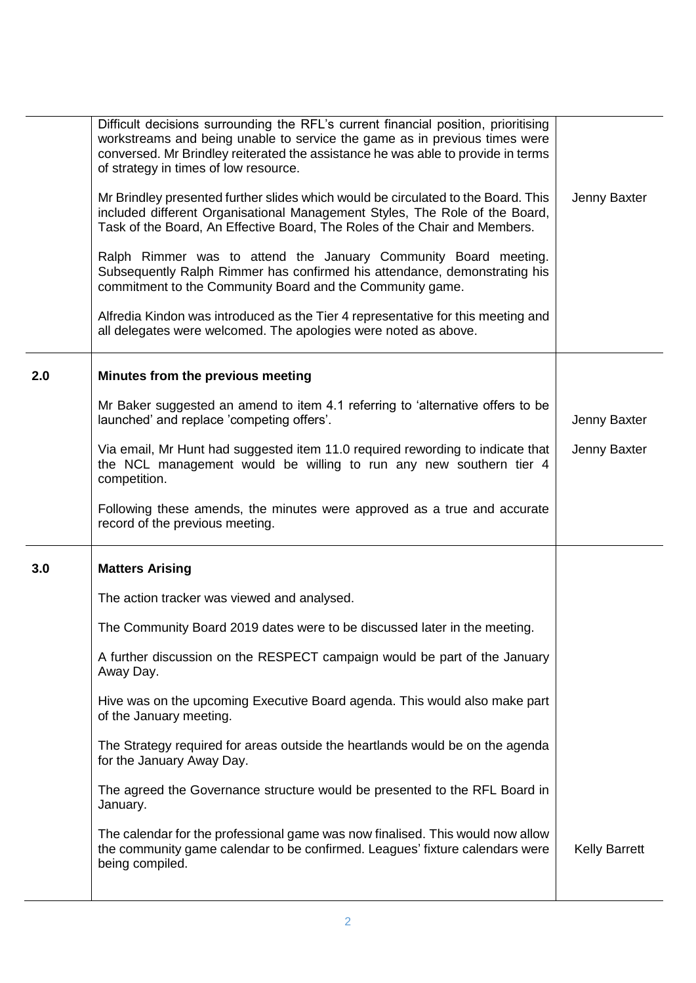|     | Difficult decisions surrounding the RFL's current financial position, prioritising<br>workstreams and being unable to service the game as in previous times were<br>conversed. Mr Brindley reiterated the assistance he was able to provide in terms<br>of strategy in times of low resource. |                      |
|-----|-----------------------------------------------------------------------------------------------------------------------------------------------------------------------------------------------------------------------------------------------------------------------------------------------|----------------------|
|     | Mr Brindley presented further slides which would be circulated to the Board. This<br>included different Organisational Management Styles, The Role of the Board,<br>Task of the Board, An Effective Board, The Roles of the Chair and Members.                                                | Jenny Baxter         |
|     | Ralph Rimmer was to attend the January Community Board meeting.<br>Subsequently Ralph Rimmer has confirmed his attendance, demonstrating his<br>commitment to the Community Board and the Community game.                                                                                     |                      |
|     | Alfredia Kindon was introduced as the Tier 4 representative for this meeting and<br>all delegates were welcomed. The apologies were noted as above.                                                                                                                                           |                      |
| 2.0 | Minutes from the previous meeting                                                                                                                                                                                                                                                             |                      |
|     | Mr Baker suggested an amend to item 4.1 referring to 'alternative offers to be<br>launched' and replace 'competing offers'.                                                                                                                                                                   | Jenny Baxter         |
|     | Via email, Mr Hunt had suggested item 11.0 required rewording to indicate that<br>the NCL management would be willing to run any new southern tier 4<br>competition.                                                                                                                          | Jenny Baxter         |
|     | Following these amends, the minutes were approved as a true and accurate<br>record of the previous meeting.                                                                                                                                                                                   |                      |
| 3.0 | <b>Matters Arising</b>                                                                                                                                                                                                                                                                        |                      |
|     | The action tracker was viewed and analysed.                                                                                                                                                                                                                                                   |                      |
|     | The Community Board 2019 dates were to be discussed later in the meeting.                                                                                                                                                                                                                     |                      |
|     | A further discussion on the RESPECT campaign would be part of the January<br>Away Day.                                                                                                                                                                                                        |                      |
|     | Hive was on the upcoming Executive Board agenda. This would also make part<br>of the January meeting.                                                                                                                                                                                         |                      |
|     | The Strategy required for areas outside the heartlands would be on the agenda<br>for the January Away Day.                                                                                                                                                                                    |                      |
|     | The agreed the Governance structure would be presented to the RFL Board in<br>January.                                                                                                                                                                                                        |                      |
|     | The calendar for the professional game was now finalised. This would now allow<br>the community game calendar to be confirmed. Leagues' fixture calendars were                                                                                                                                | <b>Kelly Barrett</b> |
|     | being compiled.                                                                                                                                                                                                                                                                               |                      |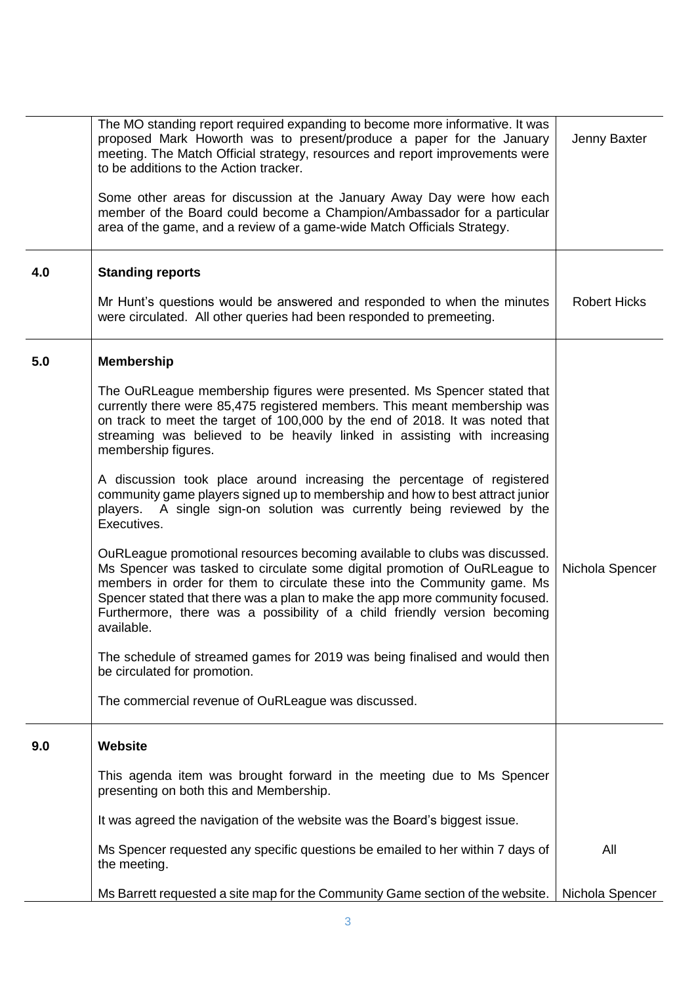|     | The MO standing report required expanding to become more informative. It was<br>proposed Mark Howorth was to present/produce a paper for the January<br>meeting. The Match Official strategy, resources and report improvements were<br>to be additions to the Action tracker.                                                                                                                                 | Jenny Baxter        |
|-----|----------------------------------------------------------------------------------------------------------------------------------------------------------------------------------------------------------------------------------------------------------------------------------------------------------------------------------------------------------------------------------------------------------------|---------------------|
|     | Some other areas for discussion at the January Away Day were how each<br>member of the Board could become a Champion/Ambassador for a particular<br>area of the game, and a review of a game-wide Match Officials Strategy.                                                                                                                                                                                    |                     |
| 4.0 | <b>Standing reports</b>                                                                                                                                                                                                                                                                                                                                                                                        |                     |
|     | Mr Hunt's questions would be answered and responded to when the minutes<br>were circulated. All other queries had been responded to premeeting.                                                                                                                                                                                                                                                                | <b>Robert Hicks</b> |
| 5.0 | <b>Membership</b>                                                                                                                                                                                                                                                                                                                                                                                              |                     |
|     | The OuRLeague membership figures were presented. Ms Spencer stated that<br>currently there were 85,475 registered members. This meant membership was<br>on track to meet the target of 100,000 by the end of 2018. It was noted that<br>streaming was believed to be heavily linked in assisting with increasing<br>membership figures.                                                                        |                     |
|     | A discussion took place around increasing the percentage of registered<br>community game players signed up to membership and how to best attract junior<br>players. A single sign-on solution was currently being reviewed by the<br>Executives.                                                                                                                                                               |                     |
|     | OuRLeague promotional resources becoming available to clubs was discussed.<br>Ms Spencer was tasked to circulate some digital promotion of OuRLeague to<br>members in order for them to circulate these into the Community game. Ms<br>Spencer stated that there was a plan to make the app more community focused.<br>Furthermore, there was a possibility of a child friendly version becoming<br>available. | Nichola Spencer     |
|     | The schedule of streamed games for 2019 was being finalised and would then<br>be circulated for promotion.                                                                                                                                                                                                                                                                                                     |                     |
|     | The commercial revenue of OuRLeague was discussed.                                                                                                                                                                                                                                                                                                                                                             |                     |
| 9.0 | Website                                                                                                                                                                                                                                                                                                                                                                                                        |                     |
|     | This agenda item was brought forward in the meeting due to Ms Spencer<br>presenting on both this and Membership.                                                                                                                                                                                                                                                                                               |                     |
|     | It was agreed the navigation of the website was the Board's biggest issue.                                                                                                                                                                                                                                                                                                                                     |                     |
|     | Ms Spencer requested any specific questions be emailed to her within 7 days of<br>the meeting.                                                                                                                                                                                                                                                                                                                 | All                 |
|     | Ms Barrett requested a site map for the Community Game section of the website.                                                                                                                                                                                                                                                                                                                                 | Nichola Spencer     |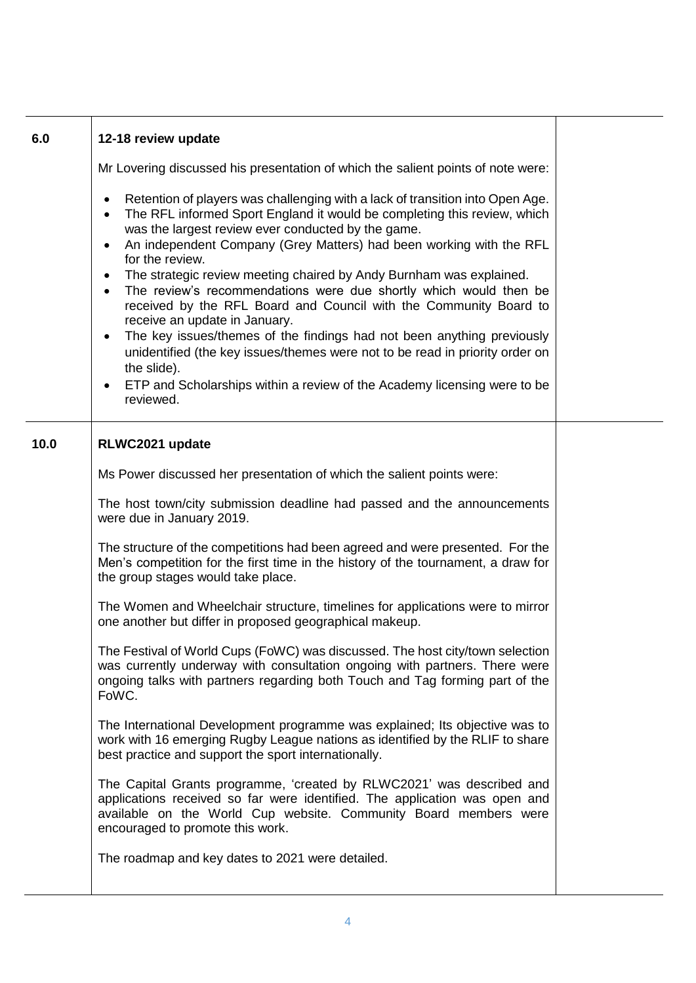| 6.0  | 12-18 review update                                                                                                                                                                                                                                                                                                    |  |
|------|------------------------------------------------------------------------------------------------------------------------------------------------------------------------------------------------------------------------------------------------------------------------------------------------------------------------|--|
|      | Mr Lovering discussed his presentation of which the salient points of note were:                                                                                                                                                                                                                                       |  |
|      | Retention of players was challenging with a lack of transition into Open Age.<br>The RFL informed Sport England it would be completing this review, which<br>was the largest review ever conducted by the game.<br>An independent Company (Grey Matters) had been working with the RFL<br>$\bullet$<br>for the review. |  |
|      | The strategic review meeting chaired by Andy Burnham was explained.<br>$\bullet$<br>The review's recommendations were due shortly which would then be<br>$\bullet$<br>received by the RFL Board and Council with the Community Board to<br>receive an update in January.                                               |  |
|      | The key issues/themes of the findings had not been anything previously<br>$\bullet$<br>unidentified (the key issues/themes were not to be read in priority order on<br>the slide).                                                                                                                                     |  |
|      | ETP and Scholarships within a review of the Academy licensing were to be<br>$\bullet$<br>reviewed.                                                                                                                                                                                                                     |  |
| 10.0 | RLWC2021 update                                                                                                                                                                                                                                                                                                        |  |
|      | Ms Power discussed her presentation of which the salient points were:                                                                                                                                                                                                                                                  |  |
|      | The host town/city submission deadline had passed and the announcements<br>were due in January 2019.                                                                                                                                                                                                                   |  |
|      | The structure of the competitions had been agreed and were presented. For the<br>Men's competition for the first time in the history of the tournament, a draw for<br>the group stages would take place.                                                                                                               |  |
|      | The Women and Wheelchair structure, timelines for applications were to mirror<br>one another but differ in proposed geographical makeup.                                                                                                                                                                               |  |
|      | The Festival of World Cups (FoWC) was discussed. The host city/town selection<br>was currently underway with consultation ongoing with partners. There were<br>ongoing talks with partners regarding both Touch and Tag forming part of the<br>FoWC.                                                                   |  |
|      | The International Development programme was explained; Its objective was to<br>work with 16 emerging Rugby League nations as identified by the RLIF to share<br>best practice and support the sport internationally.                                                                                                   |  |
|      | The Capital Grants programme, 'created by RLWC2021' was described and<br>applications received so far were identified. The application was open and<br>available on the World Cup website. Community Board members were<br>encouraged to promote this work.                                                            |  |
|      | The roadmap and key dates to 2021 were detailed.                                                                                                                                                                                                                                                                       |  |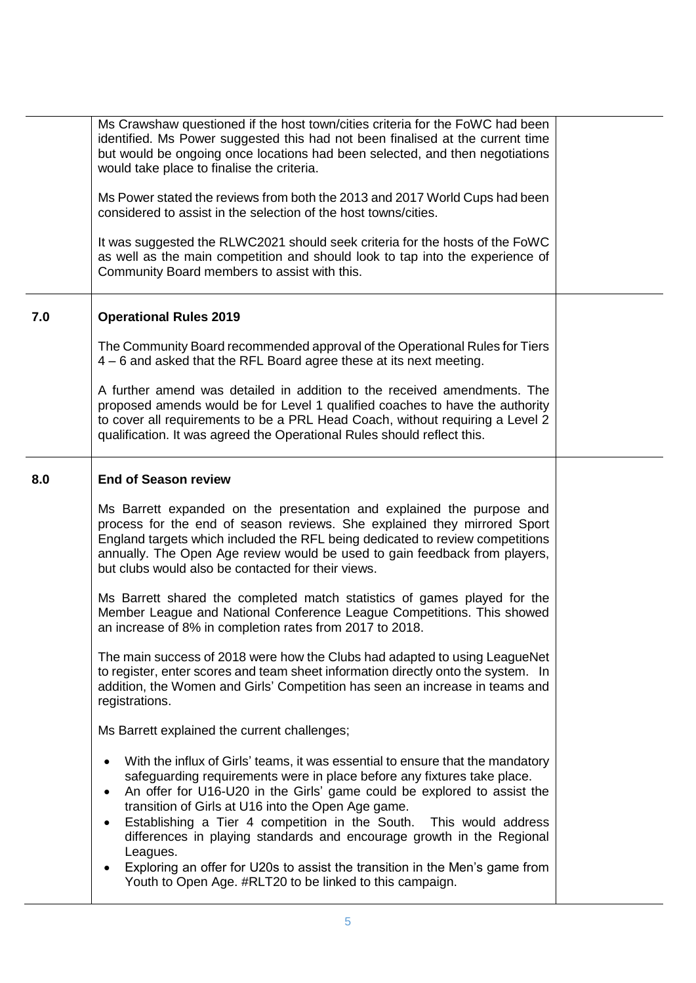|     | Ms Crawshaw questioned if the host town/cities criteria for the FoWC had been<br>identified. Ms Power suggested this had not been finalised at the current time<br>but would be ongoing once locations had been selected, and then negotiations<br>would take place to finalise the criteria.<br>Ms Power stated the reviews from both the 2013 and 2017 World Cups had been<br>considered to assist in the selection of the host towns/cities.<br>It was suggested the RLWC2021 should seek criteria for the hosts of the FoWC<br>as well as the main competition and should look to tap into the experience of<br>Community Board members to assist with this. |  |
|-----|------------------------------------------------------------------------------------------------------------------------------------------------------------------------------------------------------------------------------------------------------------------------------------------------------------------------------------------------------------------------------------------------------------------------------------------------------------------------------------------------------------------------------------------------------------------------------------------------------------------------------------------------------------------|--|
| 7.0 | <b>Operational Rules 2019</b>                                                                                                                                                                                                                                                                                                                                                                                                                                                                                                                                                                                                                                    |  |
|     | The Community Board recommended approval of the Operational Rules for Tiers<br>4 – 6 and asked that the RFL Board agree these at its next meeting.                                                                                                                                                                                                                                                                                                                                                                                                                                                                                                               |  |
|     | A further amend was detailed in addition to the received amendments. The<br>proposed amends would be for Level 1 qualified coaches to have the authority<br>to cover all requirements to be a PRL Head Coach, without requiring a Level 2<br>qualification. It was agreed the Operational Rules should reflect this.                                                                                                                                                                                                                                                                                                                                             |  |
| 8.0 | <b>End of Season review</b>                                                                                                                                                                                                                                                                                                                                                                                                                                                                                                                                                                                                                                      |  |
|     | Ms Barrett expanded on the presentation and explained the purpose and<br>process for the end of season reviews. She explained they mirrored Sport<br>England targets which included the RFL being dedicated to review competitions<br>annually. The Open Age review would be used to gain feedback from players,<br>but clubs would also be contacted for their views.                                                                                                                                                                                                                                                                                           |  |
|     | Ms Barrett shared the completed match statistics of games played for the<br>Member League and National Conference League Competitions. This showed<br>an increase of 8% in completion rates from 2017 to 2018.                                                                                                                                                                                                                                                                                                                                                                                                                                                   |  |
|     | The main success of 2018 were how the Clubs had adapted to using LeagueNet<br>to register, enter scores and team sheet information directly onto the system. In<br>addition, the Women and Girls' Competition has seen an increase in teams and<br>registrations.                                                                                                                                                                                                                                                                                                                                                                                                |  |
|     | Ms Barrett explained the current challenges;                                                                                                                                                                                                                                                                                                                                                                                                                                                                                                                                                                                                                     |  |
|     | With the influx of Girls' teams, it was essential to ensure that the mandatory<br>$\bullet$<br>safeguarding requirements were in place before any fixtures take place.<br>An offer for U16-U20 in the Girls' game could be explored to assist the<br>$\bullet$<br>transition of Girls at U16 into the Open Age game.<br>Establishing a Tier 4 competition in the South. This would address<br>$\bullet$<br>differences in playing standards and encourage growth in the Regional<br>Leagues.<br>Exploring an offer for U20s to assist the transition in the Men's game from<br>٠<br>Youth to Open Age. #RLT20 to be linked to this campaign.                     |  |
|     |                                                                                                                                                                                                                                                                                                                                                                                                                                                                                                                                                                                                                                                                  |  |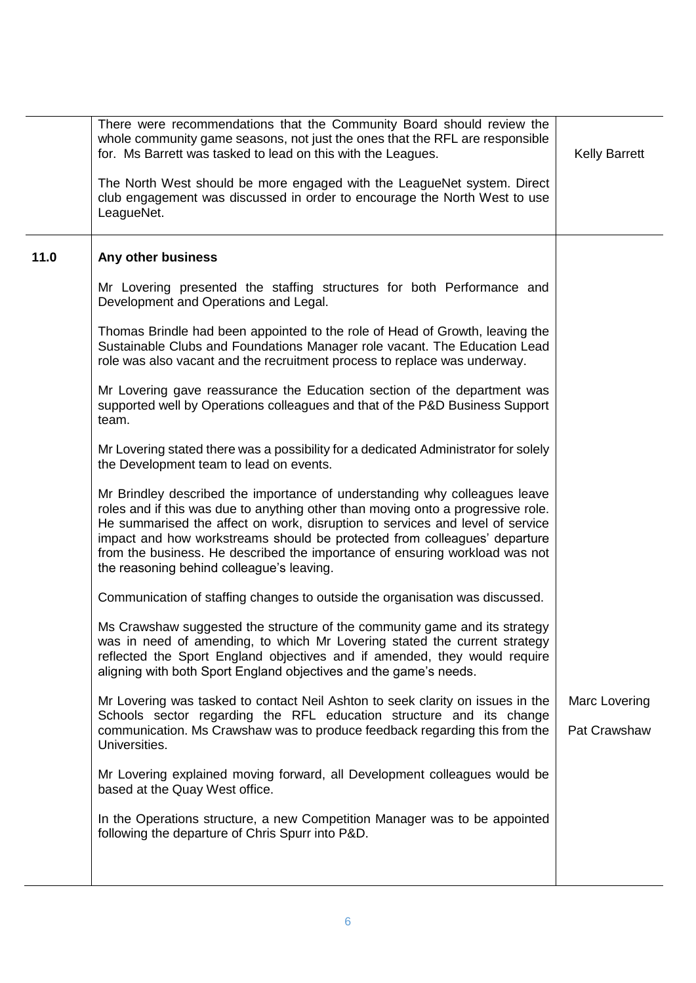|      | There were recommendations that the Community Board should review the<br>whole community game seasons, not just the ones that the RFL are responsible<br>for. Ms Barrett was tasked to lead on this with the Leagues.<br>The North West should be more engaged with the LeagueNet system. Direct                                                                                                                                                         | <b>Kelly Barrett</b>          |
|------|----------------------------------------------------------------------------------------------------------------------------------------------------------------------------------------------------------------------------------------------------------------------------------------------------------------------------------------------------------------------------------------------------------------------------------------------------------|-------------------------------|
|      | club engagement was discussed in order to encourage the North West to use<br>LeagueNet.                                                                                                                                                                                                                                                                                                                                                                  |                               |
| 11.0 | Any other business                                                                                                                                                                                                                                                                                                                                                                                                                                       |                               |
|      | Mr Lovering presented the staffing structures for both Performance and<br>Development and Operations and Legal.                                                                                                                                                                                                                                                                                                                                          |                               |
|      | Thomas Brindle had been appointed to the role of Head of Growth, leaving the<br>Sustainable Clubs and Foundations Manager role vacant. The Education Lead<br>role was also vacant and the recruitment process to replace was underway.                                                                                                                                                                                                                   |                               |
|      | Mr Lovering gave reassurance the Education section of the department was<br>supported well by Operations colleagues and that of the P&D Business Support<br>team.                                                                                                                                                                                                                                                                                        |                               |
|      | Mr Lovering stated there was a possibility for a dedicated Administrator for solely<br>the Development team to lead on events.                                                                                                                                                                                                                                                                                                                           |                               |
|      | Mr Brindley described the importance of understanding why colleagues leave<br>roles and if this was due to anything other than moving onto a progressive role.<br>He summarised the affect on work, disruption to services and level of service<br>impact and how workstreams should be protected from colleagues' departure<br>from the business. He described the importance of ensuring workload was not<br>the reasoning behind colleague's leaving. |                               |
|      | Communication of staffing changes to outside the organisation was discussed.                                                                                                                                                                                                                                                                                                                                                                             |                               |
|      | Ms Crawshaw suggested the structure of the community game and its strategy<br>was in need of amending, to which Mr Lovering stated the current strategy<br>reflected the Sport England objectives and if amended, they would require<br>aligning with both Sport England objectives and the game's needs.                                                                                                                                                |                               |
|      | Mr Lovering was tasked to contact Neil Ashton to seek clarity on issues in the<br>Schools sector regarding the RFL education structure and its change<br>communication. Ms Crawshaw was to produce feedback regarding this from the<br>Universities.                                                                                                                                                                                                     | Marc Lovering<br>Pat Crawshaw |
|      | Mr Lovering explained moving forward, all Development colleagues would be<br>based at the Quay West office.                                                                                                                                                                                                                                                                                                                                              |                               |
|      | In the Operations structure, a new Competition Manager was to be appointed<br>following the departure of Chris Spurr into P&D.                                                                                                                                                                                                                                                                                                                           |                               |
|      |                                                                                                                                                                                                                                                                                                                                                                                                                                                          |                               |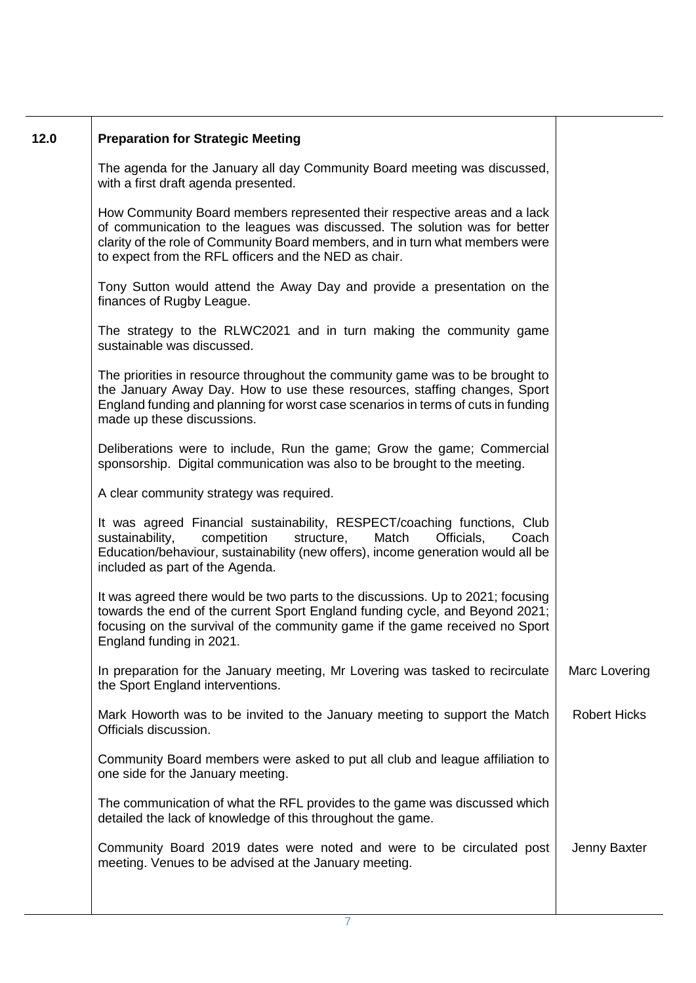| 12.0 | <b>Preparation for Strategic Meeting</b>                                                                                                                                                                                                                                                          |                     |
|------|---------------------------------------------------------------------------------------------------------------------------------------------------------------------------------------------------------------------------------------------------------------------------------------------------|---------------------|
|      | The agenda for the January all day Community Board meeting was discussed,<br>with a first draft agenda presented.                                                                                                                                                                                 |                     |
|      | How Community Board members represented their respective areas and a lack<br>of communication to the leagues was discussed. The solution was for better<br>clarity of the role of Community Board members, and in turn what members were<br>to expect from the RFL officers and the NED as chair. |                     |
|      | Tony Sutton would attend the Away Day and provide a presentation on the<br>finances of Rugby League.                                                                                                                                                                                              |                     |
|      | The strategy to the RLWC2021 and in turn making the community game<br>sustainable was discussed.                                                                                                                                                                                                  |                     |
|      | The priorities in resource throughout the community game was to be brought to<br>the January Away Day. How to use these resources, staffing changes, Sport<br>England funding and planning for worst case scenarios in terms of cuts in funding<br>made up these discussions.                     |                     |
|      | Deliberations were to include, Run the game; Grow the game; Commercial<br>sponsorship. Digital communication was also to be brought to the meeting.                                                                                                                                               |                     |
|      | A clear community strategy was required.                                                                                                                                                                                                                                                          |                     |
|      | It was agreed Financial sustainability, RESPECT/coaching functions, Club<br>structure,<br>Match<br>Officials,<br>sustainability,<br>competition<br>Coach<br>Education/behaviour, sustainability (new offers), income generation would all be<br>included as part of the Agenda.                   |                     |
|      | It was agreed there would be two parts to the discussions. Up to 2021; focusing<br>towards the end of the current Sport England funding cycle, and Beyond 2021;<br>focusing on the survival of the community game if the game received no Sport<br>England funding in 2021.                       |                     |
|      | In preparation for the January meeting, Mr Lovering was tasked to recirculate<br>the Sport England interventions.                                                                                                                                                                                 | Marc Lovering       |
|      | Mark Howorth was to be invited to the January meeting to support the Match<br>Officials discussion.                                                                                                                                                                                               | <b>Robert Hicks</b> |
|      | Community Board members were asked to put all club and league affiliation to<br>one side for the January meeting.                                                                                                                                                                                 |                     |
|      | The communication of what the RFL provides to the game was discussed which<br>detailed the lack of knowledge of this throughout the game.                                                                                                                                                         |                     |
|      | Community Board 2019 dates were noted and were to be circulated post<br>meeting. Venues to be advised at the January meeting.                                                                                                                                                                     | Jenny Baxter        |
|      |                                                                                                                                                                                                                                                                                                   |                     |